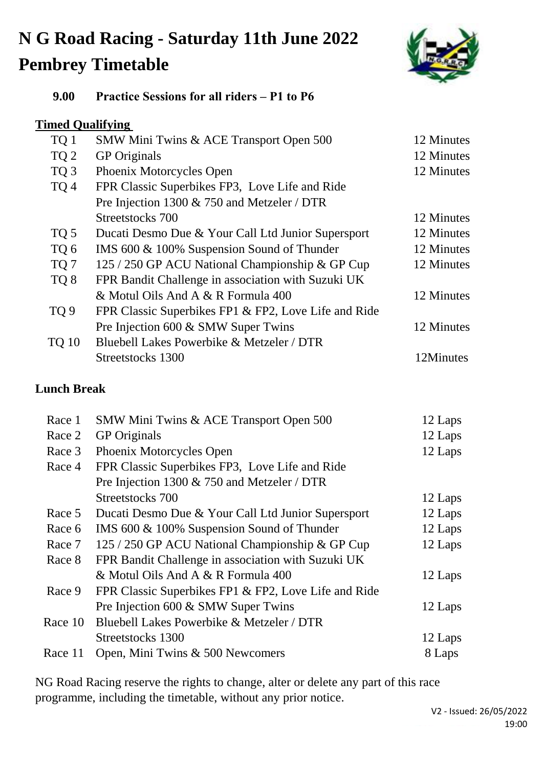# **N G Road Racing - Saturday 11th June 2022 Pembrey Timetable**



#### **9.00 Practice Sessions for all riders – P1 to P6**

### **Timed Qualifying**

| TQ 1            | SMW Mini Twins & ACE Transport Open 500              | 12 Minutes |
|-----------------|------------------------------------------------------|------------|
| TQ <sub>2</sub> | <b>GP</b> Originals                                  | 12 Minutes |
| TQ <sub>3</sub> | Phoenix Motorcycles Open                             | 12 Minutes |
| TQ <sub>4</sub> | FPR Classic Superbikes FP3, Love Life and Ride       |            |
|                 | Pre Injection 1300 & 750 and Metzeler / DTR          |            |
|                 | Streetstocks 700                                     | 12 Minutes |
| TQ 5            | Ducati Desmo Due & Your Call Ltd Junior Supersport   | 12 Minutes |
| TQ 6            | IMS 600 & 100% Suspension Sound of Thunder           | 12 Minutes |
| TQ 7            | 125 / 250 GP ACU National Championship & GP Cup      | 12 Minutes |
| TQ <sub>8</sub> | FPR Bandit Challenge in association with Suzuki UK   |            |
|                 | & Motul Oils And A & R Formula 400                   | 12 Minutes |
| TQ <sub>9</sub> | FPR Classic Superbikes FP1 & FP2, Love Life and Ride |            |
|                 | Pre Injection 600 & SMW Super Twins                  | 12 Minutes |
| <b>TQ 10</b>    | Bluebell Lakes Powerbike & Metzeler / DTR            |            |
|                 | Streetstocks 1300                                    | 12Minutes  |
|                 |                                                      |            |

## **Lunch Break**

| Race 1  | SMW Mini Twins & ACE Transport Open 500              | 12 Laps |
|---------|------------------------------------------------------|---------|
| Race 2  | <b>GP</b> Originals                                  | 12 Laps |
| Race 3  | Phoenix Motorcycles Open                             | 12 Laps |
| Race 4  | FPR Classic Superbikes FP3, Love Life and Ride       |         |
|         | Pre Injection 1300 & 750 and Metzeler / DTR          |         |
|         | Streetstocks 700                                     | 12 Laps |
| Race 5  | Ducati Desmo Due & Your Call Ltd Junior Supersport   | 12 Laps |
| Race 6  | IMS 600 & 100% Suspension Sound of Thunder           | 12 Laps |
| Race 7  | 125 / 250 GP ACU National Championship & GP Cup      | 12 Laps |
| Race 8  | FPR Bandit Challenge in association with Suzuki UK   |         |
|         | & Motul Oils And A & R Formula 400                   | 12 Laps |
| Race 9  | FPR Classic Superbikes FP1 & FP2, Love Life and Ride |         |
|         | Pre Injection 600 & SMW Super Twins                  | 12 Laps |
| Race 10 | Bluebell Lakes Powerbike & Metzeler / DTR            |         |
|         | Streetstocks 1300                                    | 12 Laps |
| Race 11 | Open, Mini Twins & 500 Newcomers                     | 8 Laps  |
|         |                                                      |         |

NG Road Racing reserve the rights to change, alter or delete any part of this race programme, including the timetable, without any prior notice.